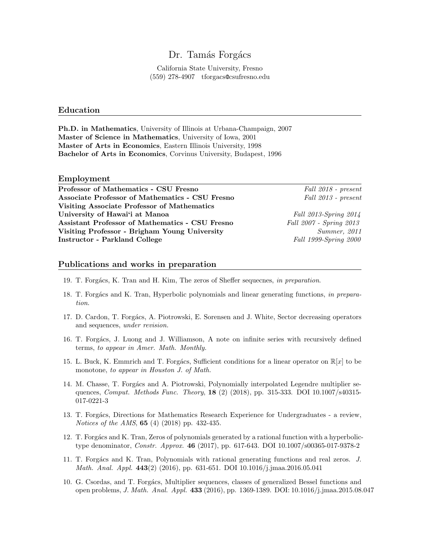# Dr. Tamás Forgács

California State University, Fresno (559) 278-4907 tforgacs@csufresno.edu

#### Education

Ph.D. in Mathematics, University of Illinois at Urbana-Champaign, 2007 Master of Science in Mathematics, University of Iowa, 2001 Master of Arts in Economics, Eastern Illinois University, 1998 Bachelor of Arts in Economics, Corvinus University, Budapest, 1996

#### Employment

| Professor of Mathematics - CSU Fresno           | Fall 2018 - present     |
|-------------------------------------------------|-------------------------|
| Associate Professor of Mathematics - CSU Fresno | Fall 2013 - present     |
| Visiting Associate Professor of Mathematics     |                         |
| University of Hawai'i at Manoa                  | Fall 2013-Spring 2014   |
| Assistant Professor of Mathematics - CSU Fresno | Fall 2007 - Spring 2013 |
| Visiting Professor - Brigham Young University   | Summer, 2011            |
| <b>Instructor - Parkland College</b>            | Fall 1999-Spring 2000   |
|                                                 |                         |

# Publications and works in preparation

- 19. T. Forgács, K. Tran and H. Kim, The zeros of Sheffer sequecnes, in preparation.
- 18. T. Forgács and K. Tran, Hyperbolic polynomials and linear generating functions, in preparation.
- 17. D. Cardon, T. Forgács, A. Piotrowski, E. Sorensen and J. White, Sector decreasing operators and sequences, under revision.
- 16. T. Forgács, J. Luong and J. Williamson, A note on infinite series with recursively defined terms, to appear in Amer. Math. Monthly.
- 15. L. Buck, K. Emmrich and T. Forgács, Sufficient conditions for a linear operator on  $\mathbb{R}[x]$  to be monotone, to appear in Houston J. of Math.
- 14. M. Chasse, T. Forgács and A. Piotrowski, Polynomially interpolated Legendre multiplier sequences, *Comput. Methods Func. Theory*, **18** (2) (2018), pp. 315-333. DOI 10.1007/s40315-017-0221-3
- 13. T. Forgács, Directions for Mathematics Research Experience for Undergraduates a review, Notices of the AMS, **65** (4) (2018) pp. 432-435.
- 12. T. Forgács and K. Tran, Zeros of polynomials generated by a rational function with a hyperbolictype denominator, *Constr. Approx.* **46** (2017), pp. 617-643. DOI 10.1007/s00365-017-9378-2
- 11. T. Forgács and K. Tran, Polynomials with rational generating functions and real zeros. J. Math. Anal. Appl. 443(2) (2016), pp. 631-651. DOI 10.1016/j.jmaa.2016.05.041
- 10. G. Csordas, and T. Forgács, Multiplier sequences, classes of generalized Bessel functions and open problems, J. Math. Anal. Appl. 433 (2016), pp. 1369-1389. DOI: 10.1016/j.jmaa.2015.08.047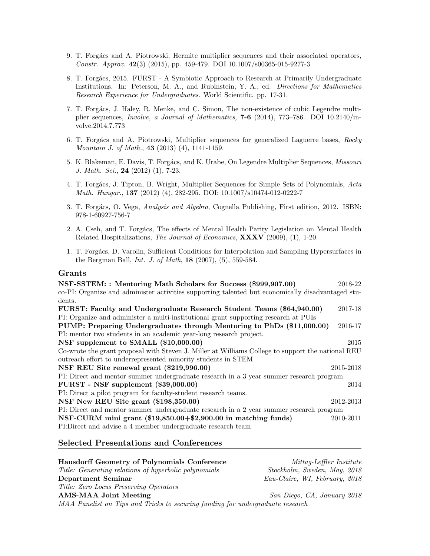- 9. T. Forgács and A. Piotrowski, Hermite multiplier sequences and their associated operators, Constr. Approx. 42(3) (2015), pp. 459-479. DOI 10.1007/s00365-015-9277-3
- 8. T. Forgács, 2015. FURST A Symbiotic Approach to Research at Primarily Undergraduate Institutions. In: Peterson, M. A., and Rubinstein, Y. A., ed. Directions for Mathematics Research Experience for Undergraduates. World Scientific. pp. 17-31.
- 7. T. Forgács, J. Haley, R. Menke, and C. Simon, The non-existence of cubic Legendre multiplier sequences, Involve, a Journal of Mathematics, 7-6 (2014), 773–786. DOI 10.2140/involve.2014.7.773
- 6. T. Forgács and A. Piotrowski, Multiplier sequences for generalized Laguerre bases, Rocky Mountain J. of Math., 43 (2013) (4), 1141-1159.
- 5. K. Blakeman, E. Davis, T. Forgács, and K. Urabe, On Legendre Multiplier Sequences, Missouri J. Math. Sci., 24 (2012) (1), 7-23.
- 4. T. Forgács, J. Tipton, B. Wright, Multiplier Sequences for Simple Sets of Polynomials, Acta Math. Hungar., 137 (2012) (4), 282-295. DOI: 10.1007/s10474-012-0222-7
- 3. T. Forgács, O. Vega, Analysis and Algebra, Cognella Publishing, First edition, 2012. ISBN: 978-1-60927-756-7
- 2. A. Cseh, and T. Forgács, The effects of Mental Health Parity Legislation on Mental Health Related Hospitalizations, The Journal of Economics, XXXV (2009), (1), 1-20.
- 1. T. Forgács, D. Varolin, Sufficient Conditions for Interpolation and Sampling Hypersurfaces in the Bergman Ball, Int. J. of Math, 18 (2007), (5), 559-584.

#### Grants

| NSF-SSTEM: : Mentoring Math Scholars for Success (\$999,907.00)                                   | 2018-22   |
|---------------------------------------------------------------------------------------------------|-----------|
| co-PI: Organize and administer activities supporting talented but economically disadvantaged stu- |           |
| dents.                                                                                            |           |
| FURST: Faculty and Undergraduate Research Student Teams (\$64,940.00)                             | 2017-18   |
| PI: Organize and administer a multi-institutional grant supporting research at PUIs               |           |
| PUMP: Preparing Undergraduates through Mentoring to PhDs (\$11,000.00)                            | 2016-17   |
| PI: mentor two students in an academic year-long research project.                                |           |
| NSF supplement to SMALL (\$10,000.00)                                                             | 2015      |
| Co-wrote the grant proposal with Steven J. Miller at Williams College to support the national REU |           |
| outreach effort to underrepresented minority students in STEM                                     |           |
| NSF REU Site renewal grant (\$219,996.00)                                                         | 2015-2018 |
| PI: Direct and mentor summer undergraduate research in a 3 year summer research program           |           |
| $FURST - NSF supplement ($39,000.00)$                                                             | 2014      |
| PI: Direct a pilot program for faculty-student research teams.                                    |           |
| NSF New REU Site grant (\$198,350.00)                                                             | 2012-2013 |
| PI: Direct and mentor summer undergraduate research in a 2 year summer research program           |           |
| NSF-CURM mini grant (\$19,850.00+\$2,900.00 in matching funds)                                    | 2010-2011 |
| PI:Direct and advise a 4 member undergraduate research team                                       |           |
|                                                                                                   |           |

### Selected Presentations and Conferences

| <b>Hausdorff Geometry of Polynomials Conference</b>                            | Mittag-Leffler Institute       |
|--------------------------------------------------------------------------------|--------------------------------|
| Title: Generating relations of hyperbolic polynomials                          | Stockholm, Sweden, May, 2018   |
| Department Seminar                                                             | Eau-Claire, WI, February, 2018 |
| Title: Zero Locus Preserving Operators                                         |                                |
| AMS-MAA Joint Meeting                                                          | San Diego, CA, January 2018    |
| MAA Panelist on Tips and Tricks to securing funding for undergraduate research |                                |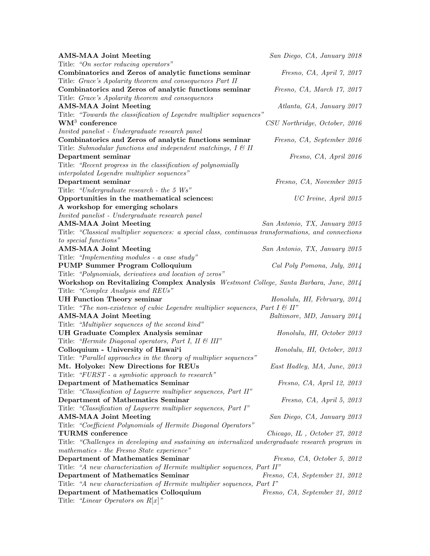| <b>AMS-MAA Joint Meeting</b>                                                                         | San Diego, CA, January 2018    |
|------------------------------------------------------------------------------------------------------|--------------------------------|
| Title: "On sector reducing operators"                                                                |                                |
| Combinatorics and Zeros of analytic functions seminar                                                | Fresno, CA, April 7, 2017      |
| Title: Grace's Apolarity theorem and consequences Part II                                            |                                |
| Combinatorics and Zeros of analytic functions seminar                                                | Fresno, CA, March 17, 2017     |
| Title: Grace's Apolarity theorem and consequences                                                    |                                |
| <b>AMS-MAA Joint Meeting</b>                                                                         | Atlanta, GA, January 2017      |
| Title: "Towards the classification of Legendre multiplier sequences"                                 |                                |
| $\mathrm{WM}^3$ conference                                                                           | CSU Northridge, October, 2016  |
| Invited panelist - Undergraduate research panel                                                      |                                |
| Combinatorics and Zeros of analytic functions seminar                                                | Fresno, CA, September 2016     |
| Title: Submodular functions and independent matchings, $I \& II$                                     |                                |
| Department seminar                                                                                   | Fresno, CA, April 2016         |
| Title: "Recent progress in the classification of polynomially                                        |                                |
| interpolated Legendre multiplier sequences"                                                          |                                |
| Department seminar                                                                                   | Fresno, CA, November 2015      |
| Title: "Undergraduate research - the 5 $Ws$ "                                                        |                                |
| Opportunities in the mathematical sciences:                                                          | UC Irvine, April 2015          |
| A workshop for emerging scholars                                                                     |                                |
| Invited panelist - Undergraduate research panel                                                      |                                |
| <b>AMS-MAA Joint Meeting</b>                                                                         | San Antonio, TX, January 2015  |
| Title: "Classical multiplier sequences: a special class, continuous transformations, and connections |                                |
| to special functions"                                                                                |                                |
| <b>AMS-MAA Joint Meeting</b>                                                                         | San Antonio, TX, January 2015  |
| Title: "Implementing modules - a case study"                                                         |                                |
| PUMP Summer Program Colloquium                                                                       | Cal Poly Pomona, July, 2014    |
| Title: "Polynomials, derivatives and location of zeros"                                              |                                |
| Workshop on Revitalizing Complex Analysis Westmont College, Santa Barbara, June, 2014                |                                |
| Title: "Complex Analysis and REUs"                                                                   |                                |
| <b>UH Function Theory seminar</b>                                                                    | Honolulu, HI, February, 2014   |
| Title: "The non-existence of cubic Legendre multiplier sequences, Part $I \otimes II$ "              |                                |
| <b>AMS-MAA Joint Meeting</b>                                                                         | Baltimore, MD, January 2014    |
| Title: "Multiplier sequences of the second kind"                                                     |                                |
| UH Graduate Complex Analysis seminar                                                                 | Honolulu, HI, October 2013     |
| Title: "Hermite Diagonal operators, Part I, II & III"                                                |                                |
| Colloquium - University of Hawai'i                                                                   | Honolulu, HI, October, 2013    |
| Title: "Parallel approaches in the theory of multiplier sequences"                                   |                                |
| Mt. Holyoke: New Directions for REUs                                                                 | East Hadley, MA, June, 2013    |
| Title: "FURST - a symbiotic approach to research"                                                    |                                |
| Department of Mathematics Seminar                                                                    | Fresno, CA, April 12, 2013     |
| Title: "Classification of Laguerre multiplier sequences, Part II"                                    |                                |
| Department of Mathematics Seminar                                                                    | Fresno, CA, April 5, 2013      |
| Title: "Classification of Laguerre multiplier sequences, Part I"                                     |                                |
| <b>AMS-MAA Joint Meeting</b>                                                                         | San Diego, CA, January 2013    |
| Title: "Coefficient Polynomials of Hermite Diagonal Operators"                                       |                                |
| TURMS conference                                                                                     | Chicago, IL, October 27, 2012  |
| Title: "Challenges in developing and sustaining an internalized undergraduate research program in    |                                |
| mathematics - the Fresno State experience"                                                           |                                |
| Department of Mathematics Seminar                                                                    | Fresno, CA, October 5, 2012    |
| Title: "A new characterization of Hermite multiplier sequences, Part II"                             |                                |
| Department of Mathematics Seminar                                                                    | Fresno, CA, September 21, 2012 |
| Title: "A new characterization of Hermite multiplier sequences, Part I"                              |                                |
| Department of Mathematics Colloquium                                                                 | Fresno, CA, September 21, 2012 |
| Title: "Linear Operators on $R[x]$ "                                                                 |                                |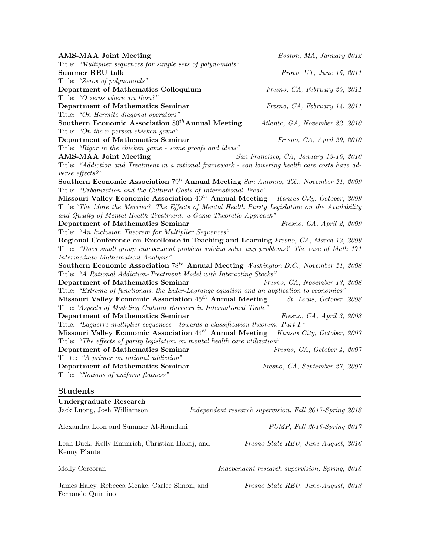| <b>AMS-MAA Joint Meeting</b>                                                                      | Boston, MA, January 2012               |
|---------------------------------------------------------------------------------------------------|----------------------------------------|
| Title: "Multiplier sequences for simple sets of polynomials"                                      |                                        |
| <b>Summer REU talk</b>                                                                            | Provo, UT, June 15, 2011               |
| Title: "Zeros of polynomials"                                                                     |                                        |
| Department of Mathematics Colloquium                                                              | Fresno, CA, February 25, 2011          |
| Title: "O zeros where art thou?"                                                                  |                                        |
| Department of Mathematics Seminar                                                                 | Fresno, CA, February 14, 2011          |
| Title: "On Hermite diagonal operators"                                                            |                                        |
| Southern Economic Association $80^{th}$ Annual Meeting                                            | Atlanta, GA, November 22, 2010         |
| Title: "On the n-person chicken game"                                                             |                                        |
| Department of Mathematics Seminar                                                                 | Fresno, CA, April 29, 2010             |
| Title: "Rigor in the chicken game - some proofs and ideas"                                        |                                        |
| <b>AMS-MAA Joint Meeting</b>                                                                      | San Francisco, CA, January 13-16, 2010 |
| Title: "Addiction and Treatment in a rational framework - can lowering health care costs have ad- |                                        |
| verse effects?"                                                                                   |                                        |
| Southern Economic Association $79^{th}$ Annual Meeting San Antonio, TX., November 21, 2009        |                                        |
| Title: "Urbanization and the Cultural Costs of International Trade"                               |                                        |
| Missouri Valley Economic Association 46 <sup>th</sup> Annual Meeting                              | Kansas City, October, 2009             |
| Title: "The More the Merrier? The Effects of Mental Health Parity Legislation on the Availability |                                        |
| and Quality of Mental Health Treatment: a Game Theoretic Approach"                                |                                        |
| Department of Mathematics Seminar                                                                 | Fresno, CA, April 2, 2009              |
| Title: "An Inclusion Theorem for Multiplier Sequences"                                            |                                        |
| Regional Conference on Excellence in Teaching and Learning Fresno, CA, March 13, 2009             |                                        |
| Title: "Does small group independent problem solving solve any problems? The case of Math 171     |                                        |
| Intermediate Mathematical Analysis"                                                               |                                        |
| Southern Economic Association 78 <sup>th</sup> Annual Meeting Washington D.C., November 21, 2008  |                                        |
| Title: "A Rational Addiction-Treatment Model with Interacting Stocks"                             |                                        |
| Department of Mathematics Seminar                                                                 | Fresno, CA, November 13, 2008          |
| Title: "Extrema of functionals, the Euler-Lagrange equation and an application to economics"      |                                        |
| Missouri Valley Economic Association 45 <sup>th</sup> Annual Meeting                              | St. Louis, October, 2008               |
| Title: "Aspects of Modeling Cultural Barriers in International Trade"                             |                                        |
| Department of Mathematics Seminar                                                                 | Fresno, CA, April 3, 2008              |
| Title: "Laguerre multiplier sequences - towards a classification theorem. Part I."                |                                        |
| Missouri Valley Economic Association $44^{th}$ Annual Meeting                                     | Kansas City, October, 2007             |
| Title: "The effects of parity legislation on mental health care utilization"                      |                                        |
| Department of Mathematics Seminar                                                                 | Fresno, CA, October 4, 2007            |
| Titlte: "A primer on rational addiction"                                                          |                                        |
| Department of Mathematics Seminar                                                                 | Fresno, CA, September 27, 2007         |
| Title: "Notions of uniform flatness"                                                              |                                        |
|                                                                                                   |                                        |
| <b>Students</b>                                                                                   |                                        |
|                                                                                                   |                                        |

| Undergraduate Research<br>Jack Luong, Josh Williamson              | Independent research supervision, Fall 2017-Spring 2018 |
|--------------------------------------------------------------------|---------------------------------------------------------|
| Alexandra Leon and Summer Al-Hamdani                               | PUMP, Fall 2016-Spring 2017                             |
| Leah Buck, Kelly Emmrich, Christian Hokaj, and<br>Kenny Plante     | Fresno State REU, June-August, 2016                     |
| Molly Corcoran                                                     | Independent research supervision, Spring, 2015          |
| James Haley, Rebecca Menke, Carlee Simon, and<br>Fernando Quintino | Fresno State REU, June-August, 2013                     |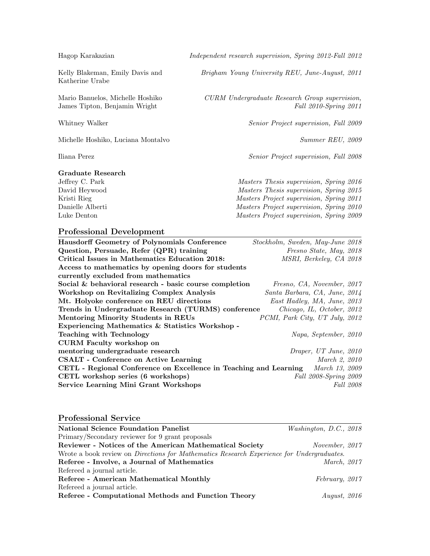Hagop Karakazian Independent research supervision, Spring 2012-Fall 2012

Katherine Urabe

Michelle Hoshiko, Luciana Montalvo Summer REU, 2009

# Graduate Research

Kelly Blakeman, Emily Davis and Brigham Young University REU, June-August, 2011

Mario Banuelos, Michelle Hoshiko  $CURM$  Undergraduate Research Group supervision, James Tipton, Benjamin Wright Fall 2010-Spring 2011

Whitney Walker Senior Project supervision, Fall 2009

Iliana Perez Senior Project supervision, Fall 2008

Jeffrey C. Park Masters Thesis supervision, Spring 2016 David Heywood Masters Thesis supervision, Spring 2015 Kristi Rieg Masters Project supervision, Spring 2011 Danielle Alberti Masters Project supervision, Spring 2010 Luke Denton Masters Project supervision, Spring 2009

#### Professional Development

| <b>Hausdorff Geometry of Polynomials Conference</b>               | Stockholm, Sweden, May-June 2018 |
|-------------------------------------------------------------------|----------------------------------|
| Question, Persuade, Refer (QPR) training                          | Fresno State, May, 2018          |
| Critical Issues in Mathematics Education 2018:                    | MSRI, Berkeley, CA 2018          |
| Access to mathematics by opening doors for students               |                                  |
| currently excluded from mathematics                               |                                  |
| Social & behavioral research - basic course completion            | Fresno, CA, November, 2017       |
| Workshop on Revitalizing Complex Analysis                         | Santa Barbara, CA, June, 2014    |
| Mt. Holyoke conference on REU directions                          | East Hadley, MA, June, 2013      |
| Trends in Undergraduate Research (TURMS) conference               | Chicago, IL, October, 2012       |
| Mentoring Minority Students in REUs                               | PCMI, Park City, UT July, 2012   |
| Experiencing Mathematics & Statistics Workshop -                  |                                  |
| <b>Teaching with Technology</b>                                   | Napa, September, 2010            |
| <b>CURM</b> Faculty workshop on                                   |                                  |
| mentoring undergraduate research                                  | Draper, UT June, 2010            |
| <b>CSALT</b> - Conference on Active Learning                      | March 2, 2010                    |
| CETL - Regional Conference on Excellence in Teaching and Learning | <i>March 13, 2009</i>            |
| CETL workshop series (6 workshops)                                | Fall 2008-Spring 2009            |
| <b>Service Learning Mini Grant Workshops</b>                      | <i>Fall</i> 2008                 |

### Professional Service

| <b>National Science Foundation Panelist</b>                                                             | Washington, D.C., $2018$ |  |
|---------------------------------------------------------------------------------------------------------|--------------------------|--|
| Primary/Secondary reviewer for 9 grant proposals                                                        |                          |  |
| Reviewer - Notices of the American Mathematical Society                                                 | November, 2017           |  |
| Wrote a book review on <i>Directions</i> for <i>Mathematics Research Experience for Undergraduates.</i> |                          |  |
| Referee - Involve, a Journal of Mathematics                                                             | <i>March, 2017</i>       |  |
| Refereed a journal article.                                                                             |                          |  |
| Referee - American Mathematical Monthly                                                                 | February, 2017           |  |
| Refereed a journal article.                                                                             |                          |  |
| Referee - Computational Methods and Function Theory                                                     | August, $2016$           |  |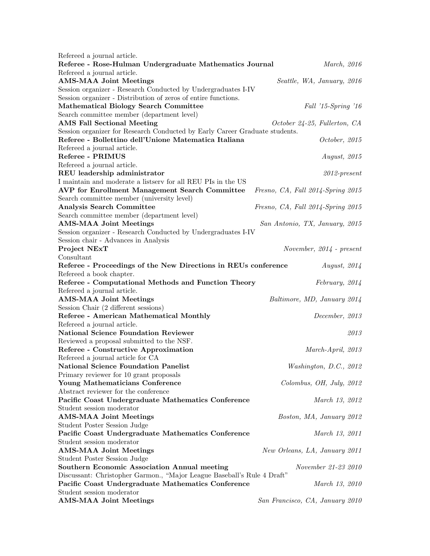| Refereed a journal article.                                                 |                                   |
|-----------------------------------------------------------------------------|-----------------------------------|
| Referee - Rose-Hulman Undergraduate Mathematics Journal                     | March, 2016                       |
| Refereed a journal article.                                                 |                                   |
| <b>AMS-MAA Joint Meetings</b>                                               | Seattle, WA, January, 2016        |
| Session organizer - Research Conducted by Undergraduates I-IV               |                                   |
| Session organizer - Distribution of zeros of entire functions.              |                                   |
| <b>Mathematical Biology Search Committee</b>                                | Fall '15-Spring '16               |
| Search committee member (department level)                                  |                                   |
| <b>AMS</b> Fall Sectional Meeting                                           | October 24-25, Fullerton, CA      |
| Session organizer for Research Conducted by Early Career Graduate students. |                                   |
| Referee - Bollettino dell'Unione Matematica Italiana                        | October, 2015                     |
| Refereed a journal article.                                                 |                                   |
| Referee - PRIMUS                                                            | <i>August, 2015</i>               |
| Refereed a journal article.                                                 |                                   |
| REU leadership administrator                                                | $2012$ -present                   |
| I maintain and moderate a listserv for all REU PIs in the US                |                                   |
| AVP for Enrollment Management Search Committee                              | Fresno, CA, Fall 2014-Spring 2015 |
| Search committee member (university level)                                  |                                   |
| <b>Analysis Search Committee</b>                                            | Fresno, CA, Fall 2014-Spring 2015 |
| Search committee member (department level)                                  |                                   |
| <b>AMS-MAA Joint Meetings</b>                                               | San Antonio, TX, January, 2015    |
| Session organizer - Research Conducted by Undergraduates I-IV               |                                   |
| Session chair - Advances in Analysis                                        |                                   |
| Project NExT                                                                | November, $2014$ - present        |
| Consultant                                                                  |                                   |
| Referee - Proceedings of the New Directions in REUs conference              | <i>August, 2014</i>               |
| Refereed a book chapter.                                                    |                                   |
| Referee - Computational Methods and Function Theory                         | February, 2014                    |
| Refereed a journal article.                                                 |                                   |
| <b>AMS-MAA Joint Meetings</b>                                               | Baltimore, MD, January 2014       |
| Session Chair (2 different sessions)                                        |                                   |
| Referee - American Mathematical Monthly                                     | December, 2013                    |
| Refereed a journal article.                                                 |                                   |
| <b>National Science Foundation Reviewer</b>                                 | 2013                              |
| Reviewed a proposal submitted to the NSF.                                   |                                   |
| Referee - Constructive Approximation                                        | March-April, 2013                 |
| Refereed a journal article for CA                                           |                                   |
| <b>National Science Foundation Panelist</b>                                 | Washington, D.C., 2012            |
| Primary reviewer for 10 grant proposals                                     |                                   |
| Young Mathematicians Conference                                             | Colombus, OH, July, 2012          |
| Abstract reviewer for the conference                                        |                                   |
| Pacific Coast Undergraduate Mathematics Conference                          | March 13, 2012                    |
| Student session moderator                                                   |                                   |
| <b>AMS-MAA Joint Meetings</b>                                               | Boston, MA, January 2012          |
| Student Poster Session Judge                                                |                                   |
| Pacific Coast Undergraduate Mathematics Conference                          | March 13, 2011                    |
| Student session moderator                                                   |                                   |
| <b>AMS-MAA Joint Meetings</b>                                               | New Orleans, LA, January 2011     |
| Student Poster Session Judge                                                |                                   |
| <b>Southern Economic Association Annual meeting</b>                         | November 21-23 2010               |
| Discussant: Christopher Garmon., "Major League Baseball's Rule 4 Draft"     |                                   |
| Pacific Coast Undergraduate Mathematics Conference                          | March 13, 2010                    |
| Student session moderator                                                   |                                   |
| <b>AMS-MAA Joint Meetings</b>                                               | San Francisco, CA, January 2010   |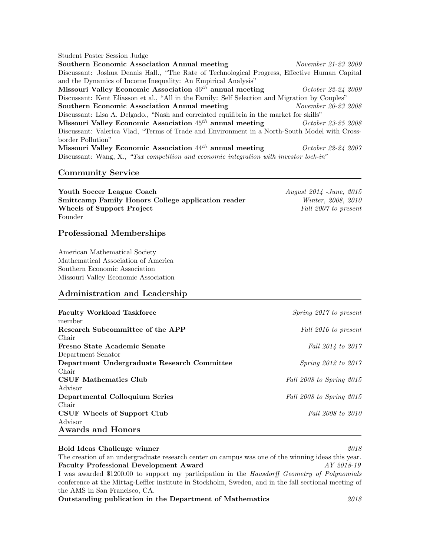#### Student Poster Session Judge

Southern Economic Association Annual meeting November 21-23 2009 Discussant: Joshua Dennis Hall., "The Rate of Technological Progress, Effective Human Capital and the Dynamics of Income Inequality: An Empirical Analysis" Missouri Valley Economic Association 46<sup>th</sup> annual meeting October 22-24 2009 Discussant: Kent Eliasson et al., "All in the Family: Self Selection and Migration by Couples" Southern Economic Association Annual meeting November 20-23 2008 Discussant: Lisa A. Delgado., "Nash and correlated equilibria in the market for skills" Missouri Valley Economic Association  $45^{th}$  annual meeting  $October\ 23-25\ 2008$ Discussant: Valerica Vlad, "Terms of Trade and Environment in a North-South Model with Crossborder Pollution" Missouri Valley Economic Association  $44^{th}$  annual meeting  $October 22-24 2007$ Discussant: Wang, X., "Tax competition and economic integration with investor lock-in"

### Community Service

Youth Soccer League Coach August 2014 - June, 2015 Smittcamp Family Honors College application reader Winter, 2008, 2010 Wheels of Support Project Fall 2007 to present Founder

#### Professional Memberships

American Mathematical Society Mathematical Association of America Southern Economic Association Missouri Valley Economic Association

# Administration and Leadership

| <b>Faculty Workload Taskforce</b>           | <i>Spring 2017 to present</i> |
|---------------------------------------------|-------------------------------|
| member                                      |                               |
| Research Subcommittee of the APP            | Fall 2016 to present          |
| Chair                                       |                               |
| Fresno State Academic Senate                | Fall 2014 to 2017             |
| Department Senator                          |                               |
| Department Undergraduate Research Committee | <i>Spring 2012 to 2017</i>    |
| Chair                                       |                               |
| CSUF Mathematics Club                       | Fall 2008 to Spring 2015      |
| Advisor                                     |                               |
| Departmental Colloquium Series              | Fall 2008 to Spring 2015      |
| Chair                                       |                               |
| CSUF Wheels of Support Club                 | Fall 2008 to 2010             |
| Advisor                                     |                               |
| <b>Awards and Honors</b>                    |                               |

# Bold Ideas Challenge winner 2018 The creation of an undergraduate research center on campus was one of the winning ideas this year. Faculty Professional Development Award  $AY\text{ }2018-19$ I was awarded \$1200.00 to support my participation in the Hausdorff Geometry of Polynomials conference at the Mittag-Leffler institute in Stockholm, Sweden, and in the fall sectional meeting of the AMS in San Francisco, CA. Outstanding publication in the Department of Mathematics 2018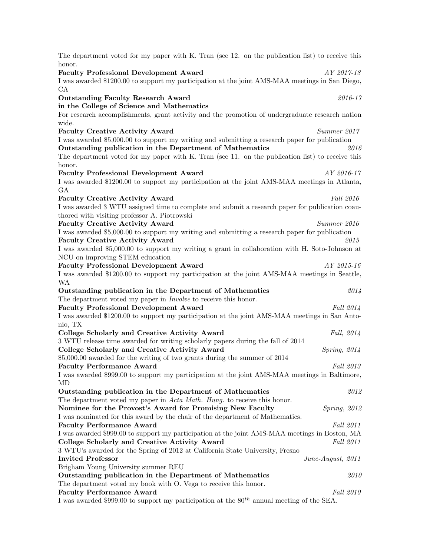| The department voted for my paper with K. Tran (see 12. on the publication list) to receive this                                   |                  |
|------------------------------------------------------------------------------------------------------------------------------------|------------------|
| honor.<br><b>Faculty Professional Development Award</b><br>AY 2017-18                                                              |                  |
| I was awarded \$1200.00 to support my participation at the joint AMS-MAA meetings in San Diego,<br>CA                              |                  |
| <b>Outstanding Faculty Research Award</b>                                                                                          | 2016-17          |
| in the College of Science and Mathematics                                                                                          |                  |
| For research accomplishments, grant activity and the promotion of undergraduate research nation                                    |                  |
| wide.                                                                                                                              |                  |
| <b>Faculty Creative Activity Award</b><br>Summer 2017                                                                              |                  |
| I was awarded \$5,000.00 to support my writing and submitting a research paper for publication                                     |                  |
| Outstanding publication in the Department of Mathematics                                                                           | 2016             |
| The department voted for my paper with K. Tran (see 11. on the publication list) to receive this                                   |                  |
| honor.<br><b>Faculty Professional Development Award</b><br>AY 2016-17                                                              |                  |
| I was awarded \$1200.00 to support my participation at the joint AMS-MAA meetings in Atlanta,                                      |                  |
| GA                                                                                                                                 |                  |
| <b>Faculty Creative Activity Award</b><br>Fall 2016                                                                                |                  |
| I was awarded 3 WTU assigned time to complete and submit a research paper for publication coau-                                    |                  |
| thored with visiting professor A. Piotrowski                                                                                       |                  |
| <b>Faculty Creative Activity Award</b><br>Summer 2016                                                                              |                  |
| I was awarded \$5,000.00 to support my writing and submitting a research paper for publication                                     |                  |
| <b>Faculty Creative Activity Award</b>                                                                                             | 2015             |
| I was awarded \$5,000.00 to support my writing a grant in collaboration with H. Soto-Johnson at                                    |                  |
| NCU on improving STEM education                                                                                                    |                  |
| <b>Faculty Professional Development Award</b><br>AY 2015-16                                                                        |                  |
| I was awarded \$1200.00 to support my participation at the joint AMS-MAA meetings in Seattle,                                      |                  |
|                                                                                                                                    |                  |
| <b>WA</b>                                                                                                                          |                  |
| Outstanding publication in the Department of Mathematics                                                                           | 2014             |
| The department voted my paper in <i>Involve</i> to receive this honor.                                                             |                  |
| <b>Faculty Professional Development Award</b>                                                                                      | Fall 2014        |
| I was awarded \$1200.00 to support my participation at the joint AMS-MAA meetings in San Anto-                                     |                  |
| nio, TX                                                                                                                            |                  |
| College Scholarly and Creative Activity Award<br>3 WTU release time awarded for writing scholarly papers during the fall of 2014   | Fall, 2014       |
| College Scholarly and Creative Activity Award<br>Spring, 2014                                                                      |                  |
| \$5,000.00 awarded for the writing of two grants during the summer of 2014                                                         |                  |
| <b>Faculty Performance Award</b>                                                                                                   | Fall 2013        |
| I was awarded \$999.00 to support my participation at the joint AMS-MAA meetings in Baltimore,                                     |                  |
| MD                                                                                                                                 |                  |
| Outstanding publication in the Department of Mathematics                                                                           | 2012             |
| The department voted my paper in <i>Acta Math. Hung.</i> to receive this honor.                                                    |                  |
| Nominee for the Provost's Award for Promising New Faculty<br>Spring, 2012                                                          |                  |
| I was nominated for this award by the chair of the department of Mathematics.                                                      |                  |
| <b>Faculty Performance Award</b>                                                                                                   | Fall 2011        |
| I was awarded \$999.00 to support my participation at the joint AMS-MAA meetings in Boston, MA                                     |                  |
| College Scholarly and Creative Activity Award                                                                                      | <i>Fall</i> 2011 |
| 3 WTU's awarded for the Spring of 2012 at California State University, Fresno                                                      |                  |
| <b>Invited Professor</b><br>June-August, 2011<br>Brigham Young University summer REU                                               |                  |
| Outstanding publication in the Department of Mathematics                                                                           | <i>2010</i>      |
| The department voted my book with O. Vega to receive this honor.                                                                   |                  |
| <b>Faculty Performance Award</b><br>I was awarded \$999.00 to support my participation at the $80^{th}$ annual meeting of the SEA. | Fall 2010        |